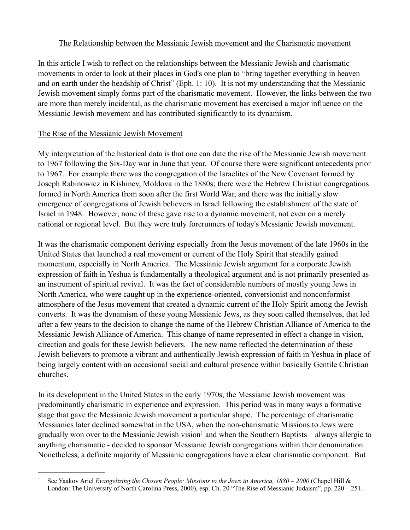### The Relationship between the Messianic Jewish movement and the Charismatic movement

In this article I wish to reflect on the relationships between the Messianic Jewish and charismatic movements in order to look at their places in God's one plan to "bring together everything in heaven and on earth under the headship of Christ" (Eph. 1: 10). It is not my understanding that the Messianic Jewish movement simply forms part of the charismatic movement. However, the links between the two are more than merely incidental, as the charismatic movement has exercised a major influence on the Messianic Jewish movement and has contributed significantly to its dynamism.

# The Rise of the Messianic Jewish Movement

My interpretation of the historical data is that one can date the rise of the Messianic Jewish movement to 1967 following the Six-Day war in June that year. Of course there were significant antecedents prior to 1967. For example there was the congregation of the Israelites of the New Covenant formed by Joseph Rabinowicz in Kishinev, Moldova in the 1880s; there were the Hebrew Christian congregations formed in North America from soon after the first World War, and there was the initially slow emergence of congregations of Jewish believers in Israel following the establishment of the state of Israel in 1948. However, none of these gave rise to a dynamic movement, not even on a merely national or regional level. But they were truly forerunners of today's Messianic Jewish movement.

It was the charismatic component deriving especially from the Jesus movement of the late 1960s in the United States that launched a real movement or current of the Holy Spirit that steadily gained momentum, especially in North America. The Messianic Jewish argument for a corporate Jewish expression of faith in Yeshua is fundamentally a theological argument and is not primarily presented as an instrument of spiritual revival. It was the fact of considerable numbers of mostly young Jews in North America, who were caught up in the experience-oriented, conversionist and nonconformist atmosphere of the Jesus movement that created a dynamic current of the Holy Spirit among the Jewish converts. It was the dynamism of these young Messianic Jews, as they soon called themselves, that led after a few years to the decision to change the name of the Hebrew Christian Alliance of America to the Messianic Jewish Alliance of America. This change of name represented in effect a change in vision, direction and goals for these Jewish believers. The new name reflected the determination of these Jewish believers to promote a vibrant and authentically Jewish expression of faith in Yeshua in place of being largely content with an occasional social and cultural presence within basically Gentile Christian churches.

In its development in the United States in the early 1970s, the Messianic Jewish movement was predominantly charismatic in experience and expression. This period was in many ways a formative stage that gave the Messianic Jewish movement a particular shape. The percentage of charismatic Messianics later declined somewhat in the USA, when the non-charismatic Missions to Jews were gradually won over to the Messianic Jewish vision<sup>1</sup> and when the Southern Baptists – always allergic to anything charismatic - decided to sponsor Messianic Jewish congregations within their denomination. Nonetheless, a definite majority of Messianic congregations have a clear charismatic component. But

See Yaakov Ariel *Evangelizing the Chosen People: Missions to the Jews in America, 1880 – 2000* (Chapel Hill & London: The University of North Carolina Press, 2000), esp. Ch. 20 "The Rise of Messianic Judaism", pp. 220 – 251.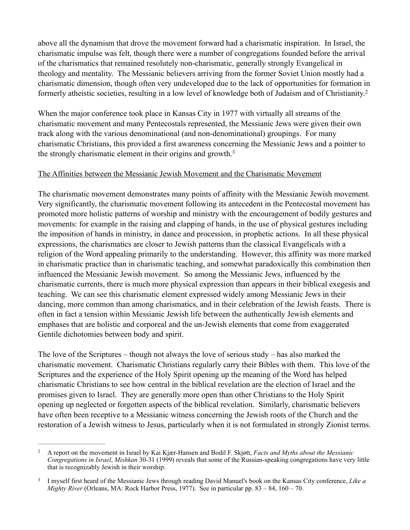above all the dynamism that drove the movement forward had a charismatic inspiration. In Israel, the charismatic impulse was felt, though there were a number of congregations founded before the arrival of the charismatics that remained resolutely non-charismatic, generally strongly Evangelical in theology and mentality. The Messianic believers arriving from the former Soviet Union mostly had a charismatic dimension, though often very undeveloped due to the lack of opportunities for formation in formerly atheistic societies, resulting in a low level of knowledge both of Judaism and of Christianity.<sup>2</sup>

When the major conference took place in Kansas City in 1977 with virtually all streams of the charismatic movement and many Pentecostals represented, the Messianic Jews were given their own track along with the various denominational (and non-denominational) groupings. For many charismatic Christians, this provided a first awareness concerning the Messianic Jews and a pointer to the strongly charismatic element in their origins and growth.3

#### The Affinities between the Messianic Jewish Movement and the Charismatic Movement

The charismatic movement demonstrates many points of affinity with the Messianic Jewish movement. Very significantly, the charismatic movement following its antecedent in the Pentecostal movement has promoted more holistic patterns of worship and ministry with the encouragement of bodily gestures and movements: for example in the raising and clapping of hands, in the use of physical gestures including the imposition of hands in ministry, in dance and procession, in prophetic actions. In all these physical expressions, the charismatics are closer to Jewish patterns than the classical Evangelicals with a religion of the Word appealing primarily to the understanding. However, this affinity was more marked in charismatic practice than in charismatic teaching, and somewhat paradoxically this combination then influenced the Messianic Jewish movement. So among the Messianic Jews, influenced by the charismatic currents, there is much more physical expression than appears in their biblical exegesis and teaching. We can see this charismatic element expressed widely among Messianic Jews in their dancing, more common than among charismatics, and in their celebration of the Jewish feasts. There is often in fact a tension within Messianic Jewish life between the authentically Jewish elements and emphases that are holistic and corporeal and the un-Jewish elements that come from exaggerated Gentile dichotomies between body and spirit.

The love of the Scriptures – though not always the love of serious study – has also marked the charismatic movement. Charismatic Christians regularly carry their Bibles with them. This love of the Scriptures and the experience of the Holy Spirit opening up the meaning of the Word has helped charismatic Christians to see how central in the biblical revelation are the election of Israel and the promises given to Israel. They are generally more open than other Christians to the Holy Spirit opening up neglected or forgotten aspects of the biblical revelation. Similarly, charismatic believers have often been receptive to a Messianic witness concerning the Jewish roots of the Church and the restoration of a Jewish witness to Jesus, particularly when it is not formulated in strongly Zionist terms.

A report on the movement in Israel by Kai Kjær-Hansen and Bodil F. Skjøtt, *Facts and Myths about the Messianic* <sup>2</sup> *Congregations in Israel*, *Mishkan* 30-31 (1999) reveals that some of the Russian-speaking congregations have very little that is recognizably Jewish in their worship.

I myself first heard of the Messianic Jews through reading David Manuel's book on the Kansas City conference, *Like a* <sup>3</sup> *Mighty River* (Orleans, MA: Rock Harbor Press, 1977). See in particular pp. 83 – 84, 160 – 70.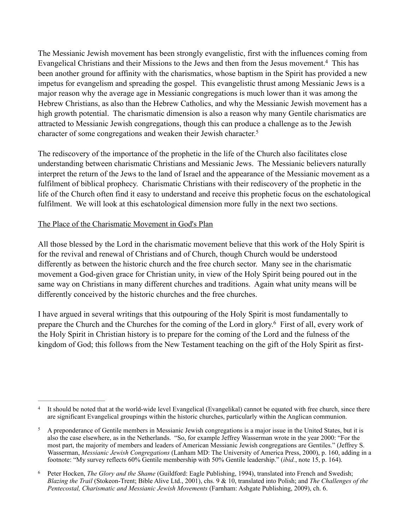The Messianic Jewish movement has been strongly evangelistic, first with the influences coming from Evangelical Christians and their Missions to the Jews and then from the Jesus movement.<sup>4</sup> This has been another ground for affinity with the charismatics, whose baptism in the Spirit has provided a new impetus for evangelism and spreading the gospel. This evangelistic thrust among Messianic Jews is a major reason why the average age in Messianic congregations is much lower than it was among the Hebrew Christians, as also than the Hebrew Catholics, and why the Messianic Jewish movement has a high growth potential. The charismatic dimension is also a reason why many Gentile charismatics are attracted to Messianic Jewish congregations, though this can produce a challenge as to the Jewish character of some congregations and weaken their Jewish character. 5

The rediscovery of the importance of the prophetic in the life of the Church also facilitates close understanding between charismatic Christians and Messianic Jews. The Messianic believers naturally interpret the return of the Jews to the land of Israel and the appearance of the Messianic movement as a fulfilment of biblical prophecy. Charismatic Christians with their rediscovery of the prophetic in the life of the Church often find it easy to understand and receive this prophetic focus on the eschatological fulfilment. We will look at this eschatological dimension more fully in the next two sections.

# The Place of the Charismatic Movement in God's Plan

All those blessed by the Lord in the charismatic movement believe that this work of the Holy Spirit is for the revival and renewal of Christians and of Church, though Church would be understood differently as between the historic church and the free church sector. Many see in the charismatic movement a God-given grace for Christian unity, in view of the Holy Spirit being poured out in the same way on Christians in many different churches and traditions. Again what unity means will be differently conceived by the historic churches and the free churches.

I have argued in several writings that this outpouring of the Holy Spirit is most fundamentally to prepare the Church and the Churches for the coming of the Lord in glory.<sup>6</sup> First of all, every work of the Holy Spirit in Christian history is to prepare for the coming of the Lord and the fulness of the kingdom of God; this follows from the New Testament teaching on the gift of the Holy Spirit as first-

<sup>&</sup>lt;sup>4</sup> It should be noted that at the world-wide level Evangelical (Evangelikal) cannot be equated with free church, since there are significant Evangelical groupings within the historic churches, particularly within the Anglican communion.

<sup>&</sup>lt;sup>5</sup> A preponderance of Gentile members in Messianic Jewish congregations is a major issue in the United States, but it is also the case elsewhere, as in the Netherlands. "So, for example Jeffrey Wasserman wrote in the year 2000: "For the most part, the majority of members and leaders of American Messianic Jewish congregations are Gentiles." (Jeffrey S. Wasserman, *Messianic Jewish Congregations* (Lanham MD: The University of America Press, 2000), p. 160, adding in a footnote: "My survey reflects 60% Gentile membership with 50% Gentile leadership." (*ibid.*, note 15, p. 164).

Peter Hocken, *The Glory and the Shame* (Guildford: Eagle Publishing, 1994), translated into French and Swedish; 6 *Blazing the Trail* (Stokeon-Trent; Bible Alive Ltd., 2001), chs. 9 & 10, translated into Polish; and *The Challenges of the Pentecostal, Charismatic and Messianic Jewish Movements* (Farnham: Ashgate Publishing, 2009), ch. 6.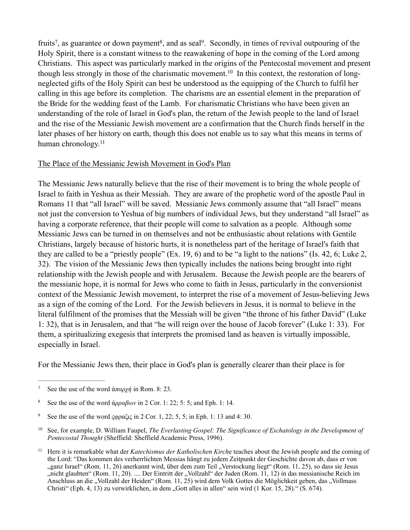fruits<sup>7</sup>, as guarantee or down payment<sup>8</sup>, and as seal<sup>9</sup>. Secondly, in times of revival outpouring of the Holy Spirit, there is a constant witness to the reawakening of hope in the coming of the Lord among Christians. This aspect was particularly marked in the origins of the Pentecostal movement and present though less strongly in those of the charismatic movement.<sup>10</sup> In this context, the restoration of longneglected gifts of the Holy Spirit can best be understood as the equipping of the Church to fulfil her calling in this age before its completion. The charisms are an essential element in the preparation of the Bride for the wedding feast of the Lamb. For charismatic Christians who have been given an understanding of the role of Israel in God's plan, the return of the Jewish people to the land of Israel and the rise of the Messianic Jewish movement are a confirmation that the Church finds herself in the later phases of her history on earth, though this does not enable us to say what this means in terms of human chronology.<sup>11</sup>

#### The Place of the Messianic Jewish Movement in God's Plan

The Messianic Jews naturally believe that the rise of their movement is to bring the whole people of Israel to faith in Yeshua as their Messiah. They are aware of the prophetic word of the apostle Paul in Romans 11 that "all Israel" will be saved. Messianic Jews commonly assume that "all Israel" means not just the conversion to Yeshua of big numbers of individual Jews, but they understand "all Israel" as having a corporate reference, that their people will come to salvation as a people. Although some Messianic Jews can be turned in on themselves and not be enthusiastic about relations with Gentile Christians, largely because of historic hurts, it is nonetheless part of the heritage of Israel's faith that they are called to be a "priestly people" (Ex. 19, 6) and to be "a light to the nations" (Is. 42, 6; Luke 2, 32). The vision of the Messianic Jews then typically includes the nations being brought into right relationship with the Jewish people and with Jerusalem. Because the Jewish people are the bearers of the messianic hope, it is normal for Jews who come to faith in Jesus, particularly in the conversionist context of the Messianic Jewish movement, to interpret the rise of a movement of Jesus-believing Jews as a sign of the coming of the Lord. For the Jewish believers in Jesus, it is normal to believe in the literal fulfilment of the promises that the Messiah will be given "the throne of his father David" (Luke 1: 32), that is in Jerusalem, and that "he will reign over the house of Jacob forever" (Luke 1: 33). For them, a spiritualizing exegesis that interprets the promised land as heaven is virtually impossible, especially in Israel.

For the Messianic Jews then, their place in God's plan is generally clearer than their place is for

<sup>&</sup>lt;sup>7</sup> See the use of the word άπαρχή in Rom. 8: 23.

See the use of the word  $\alpha \rho \alpha \beta \omega v$  in 2 Cor. 1: 22; 5: 5; and Eph. 1: 14.

<sup>&</sup>lt;sup>9</sup> See the use of the word ςφραζις in 2 Cor. 1, 22; 5, 5; in Eph. 1: 13 and 4: 30.

<sup>&</sup>lt;sup>10</sup> See, for example, D. William Faupel, *The Everlasting Gospel: The Significance of Eschatology in the Development of Pentecostal Thought* (Sheffield: Sheffield Academic Press, 1996).

<sup>&</sup>lt;sup>11</sup> Here it is remarkable what der *Katechismus der Katholischen Kirch*e teaches about the Jewish people and the coming of the Lord: "Das kommen des verherrlichten Messias hängt zu jedem Zeitpunkt der Geschichte davon ab, dass er von "ganz Israel" (Rom. 11, 26) anerkannt wird, über dem zum Teil "Verstockung liegt" (Rom. 11, 25), so dass sie Jesus "nicht glaubten" (Rom. 11, 20). .... Der Eintritt der "Vollzahl" der Juden (Rom. 11, 12) in das messianische Reich im Anschluss an die "Vollzahl der Heiden" (Rom. 11, 25) wird dem Volk Gottes die Möglichkeit geben, das "Vollmass Christi" (Eph. 4, 13) zu verwirklichen, in dem "Gott alles in allen" sein wird (1 Kor. 15, 28)." (S. 674).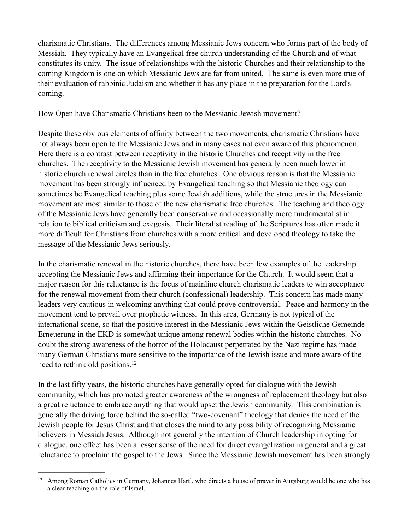charismatic Christians. The differences among Messianic Jews concern who forms part of the body of Messiah. They typically have an Evangelical free church understanding of the Church and of what constitutes its unity. The issue of relationships with the historic Churches and their relationship to the coming Kingdom is one on which Messianic Jews are far from united. The same is even more true of their evaluation of rabbinic Judaism and whether it has any place in the preparation for the Lord's coming.

#### How Open have Charismatic Christians been to the Messianic Jewish movement?

Despite these obvious elements of affinity between the two movements, charismatic Christians have not always been open to the Messianic Jews and in many cases not even aware of this phenomenon. Here there is a contrast between receptivity in the historic Churches and receptivity in the free churches. The receptivity to the Messianic Jewish movement has generally been much lower in historic church renewal circles than in the free churches. One obvious reason is that the Messianic movement has been strongly influenced by Evangelical teaching so that Messianic theology can sometimes be Evangelical teaching plus some Jewish additions, while the structures in the Messianic movement are most similar to those of the new charismatic free churches. The teaching and theology of the Messianic Jews have generally been conservative and occasionally more fundamentalist in relation to biblical criticism and exegesis. Their literalist reading of the Scriptures has often made it more difficult for Christians from churches with a more critical and developed theology to take the message of the Messianic Jews seriously.

In the charismatic renewal in the historic churches, there have been few examples of the leadership accepting the Messianic Jews and affirming their importance for the Church. It would seem that a major reason for this reluctance is the focus of mainline church charismatic leaders to win acceptance for the renewal movement from their church (confessional) leadership. This concern has made many leaders very cautious in welcoming anything that could prove controversial. Peace and harmony in the movement tend to prevail over prophetic witness. In this area, Germany is not typical of the international scene, so that the positive interest in the Messianic Jews within the Geistliche Gemeinde Erneuerung in the EKD is somewhat unique among renewal bodies within the historic churches. No doubt the strong awareness of the horror of the Holocaust perpetrated by the Nazi regime has made many German Christians more sensitive to the importance of the Jewish issue and more aware of the need to rethink old positions. 12

In the last fifty years, the historic churches have generally opted for dialogue with the Jewish community, which has promoted greater awareness of the wrongness of replacement theology but also a great reluctance to embrace anything that would upset the Jewish community. This combination is generally the driving force behind the so-called "two-covenant" theology that denies the need of the Jewish people for Jesus Christ and that closes the mind to any possibility of recognizing Messianic believers in Messiah Jesus. Although not generally the intention of Church leadership in opting for dialogue, one effect has been a lesser sense of the need for direct evangelization in general and a great reluctance to proclaim the gospel to the Jews. Since the Messianic Jewish movement has been strongly

 $12$  Among Roman Catholics in Germany, Johannes Hartl, who directs a house of prayer in Augsburg would be one who has a clear teaching on the role of Israel.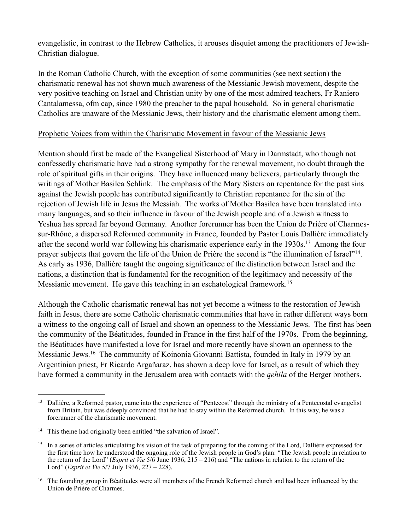evangelistic, in contrast to the Hebrew Catholics, it arouses disquiet among the practitioners of Jewish-Christian dialogue.

In the Roman Catholic Church, with the exception of some communities (see next section) the charismatic renewal has not shown much awareness of the Messianic Jewish movement, despite the very positive teaching on Israel and Christian unity by one of the most admired teachers, Fr Raniero Cantalamessa, ofm cap, since 1980 the preacher to the papal household. So in general charismatic Catholics are unaware of the Messianic Jews, their history and the charismatic element among them.

# Prophetic Voices from within the Charismatic Movement in favour of the Messianic Jews

Mention should first be made of the Evangelical Sisterhood of Mary in Darmstadt, who though not confessedly charismatic have had a strong sympathy for the renewal movement, no doubt through the role of spiritual gifts in their origins. They have influenced many believers, particularly through the writings of Mother Basilea Schlink. The emphasis of the Mary Sisters on repentance for the past sins against the Jewish people has contributed significantly to Christian repentance for the sin of the rejection of Jewish life in Jesus the Messiah. The works of Mother Basilea have been translated into many languages, and so their influence in favour of the Jewish people and of a Jewish witness to Yeshua has spread far beyond Germany. Another forerunner has been the Union de Prière of Charmessur-Rhône, a dispersed Reformed community in France, founded by Pastor Louis Dallière immediately after the second world war following his charismatic experience early in the  $1930s$ <sup>13</sup> Among the four prayer subjects that govern the life of the Union de Prière the second is "the illumination of Israel"<sup>14</sup>. As early as 1936, Dallière taught the ongoing significance of the distinction between Israel and the nations, a distinction that is fundamental for the recognition of the legitimacy and necessity of the Messianic movement. He gave this teaching in an eschatological framework.<sup>15</sup>

Although the Catholic charismatic renewal has not yet become a witness to the restoration of Jewish faith in Jesus, there are some Catholic charismatic communities that have in rather different ways born a witness to the ongoing call of Israel and shown an openness to the Messianic Jews. The first has been the community of the Béatitudes, founded in France in the first half of the 1970s. From the beginning, the Béatitudes have manifested a love for Israel and more recently have shown an openness to the Messianic Jews.<sup>16</sup> The community of Koinonia Giovanni Battista, founded in Italy in 1979 by an Argentinian priest, Fr Ricardo Argañaraz, has shown a deep love for Israel, as a result of which they have formed a community in the Jerusalem area with contacts with the *qehila* of the Berger brothers.

<sup>&</sup>lt;sup>13</sup> Dallière, a Reformed pastor, came into the experience of "Pentecost" through the ministry of a Pentecostal evangelist from Britain, but was ddeeply convinced that he had to stay within the Reformed church. In this way, he was a forerunner of the charismatic movement.

<sup>&</sup>lt;sup>14</sup> This theme had originally been entitled "the salvation of Israel".

<sup>&</sup>lt;sup>15</sup> In a series of articles articulating his vision of the task of preparing for the coming of the Lord, Dallière expressed for the first time how he understood the ongoing role of the Jewish people in God's plan: "The Jewish people in relation to the return of the Lord" (*Esprit et Vie* 5/6 June 1936, 215 – 216) and "The nations in relation to the return of the Lord" (*Esprit et Vie* 5/7 July 1936, 227 – 228).

 $16$  The founding group in Béatitudes were all members of the French Reformed church and had been influenced by the Union de Prière of Charmes.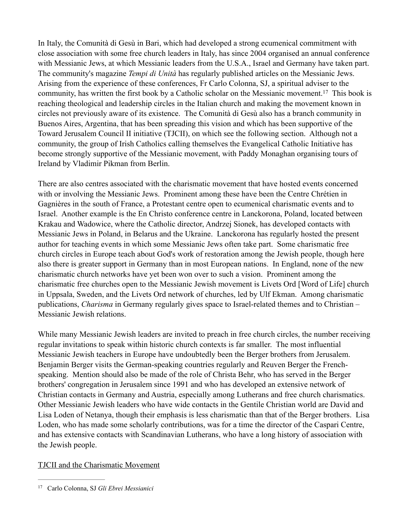In Italy, the Comunità di Gesù in Bari, which had developed a strong ecumenical commitment with close association with some free church leaders in Italy, has since 2004 organised an annual conference with Messianic Jews, at which Messianic leaders from the U.S.A., Israel and Germany have taken part. The community's magazine *Tempi di Unità* has regularly published articles on the Messianic Jews. Arising from the experience of these conferences, Fr Carlo Colonna, SJ, a spiritual adviser to the community, has written the first book by a Catholic scholar on the Messianic movement.<sup>17</sup> This book is reaching theological and leadership circles in the Italian church and making the movement known in circles not previously aware of its existence. The Comunità di Gesù also has a branch community in Buenos Aires, Argentina, that has been spreading this vision and which has been supportive of the Toward Jerusalem Council II initiative (TJCII), on which see the following section. Although not a community, the group of Irish Catholics calling themselves the Evangelical Catholic Initiative has become strongly supportive of the Messianic movement, with Paddy Monaghan organising tours of Ireland by Vladimir Pikman from Berlin.

There are also centres associated with the charismatic movement that have hosted events concerned with or involving the Messianic Jews. Prominent among these have been the Centre Chrétien in Gagnières in the south of France, a Protestant centre open to ecumenical charismatic events and to Israel. Another example is the En Christo conference centre in Lanckorona, Poland, located between Krakau and Wadowice, where the Catholic director, Andrzej Sionek, has developed contacts with Messianic Jews in Poland, in Belarus and the Ukraine. Lanckorona has regularly hosted the present author for teaching events in which some Messianic Jews often take part. Some charismatic free church circles in Europe teach about God's work of restoration among the Jewish people, though here also there is greater support in Germany than in most European nations. In England, none of the new charismatic church networks have yet been won over to such a vision. Prominent among the charismatic free churches open to the Messianic Jewish movement is Livets Ord [Word of Life] church in Uppsala, Sweden, and the Livets Ord network of churches, led by Ulf Ekman. Among charismatic publications, *Charisma* in Germany regularly gives space to Israel-related themes and to Christian – Messianic Jewish relations.

While many Messianic Jewish leaders are invited to preach in free church circles, the number receiving regular invitations to speak within historic church contexts is far smaller. The most influential Messianic Jewish teachers in Europe have undoubtedly been the Berger brothers from Jerusalem. Benjamin Berger visits the German-speaking countries regularly and Reuven Berger the Frenchspeaking. Mention should also be made of the role of Christa Behr, who has served in the Berger brothers' congregation in Jerusalem since 1991 and who has developed an extensive network of Christian contacts in Germany and Austria, especially among Lutherans and free church charismatics. Other Messianic Jewish leaders who have wide contacts in the Gentile Christian world are David and Lisa Loden of Netanya, though their emphasis is less charismatic than that of the Berger brothers. Lisa Loden, who has made some scholarly contributions, was for a time the director of the Caspari Centre, and has extensive contacts with Scandinavian Lutherans, who have a long history of association with the Jewish people.

# TJCII and the Charismatic Movement

Carlo Colonna, SJ *Gli Ebrei Messianici* <sup>17</sup>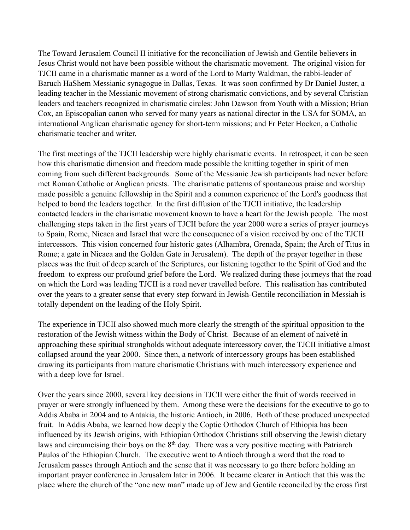The Toward Jerusalem Council II initiative for the reconciliation of Jewish and Gentile believers in Jesus Christ would not have been possible without the charismatic movement. The original vision for TJCII came in a charismatic manner as a word of the Lord to Marty Waldman, the rabbi-leader of Baruch HaShem Messianic synagogue in Dallas, Texas. It was soon confirmed by Dr Daniel Juster, a leading teacher in the Messianic movement of strong charismatic convictions, and by several Christian leaders and teachers recognized in charismatic circles: John Dawson from Youth with a Mission; Brian Cox, an Episcopalian canon who served for many years as national director in the USA for SOMA, an international Anglican charismatic agency for short-term missions; and Fr Peter Hocken, a Catholic charismatic teacher and writer.

The first meetings of the TJCII leadership were highly charismatic events. In retrospect, it can be seen how this charismatic dimension and freedom made possible the knitting together in spirit of men coming from such different backgrounds. Some of the Messianic Jewish participants had never before met Roman Catholic or Anglican priests. The charismatic patterns of spontaneous praise and worship made possible a genuine fellowship in the Spirit and a common experience of the Lord's goodness that helped to bond the leaders together. In the first diffusion of the TJCII initiative, the leadership contacted leaders in the charismatic movement known to have a heart for the Jewish people. The most challenging steps taken in the first years of TJCII before the year 2000 were a series of prayer journeys to Spain, Rome, Nicaea and Israel that were the consequence of a vision received by one of the TJCII intercessors. This vision concerned four historic gates (Alhambra, Grenada, Spain; the Arch of Titus in Rome; a gate in Nicaea and the Golden Gate in Jerusalem). The depth of the prayer together in these places was the fruit of deep search of the Scriptures, our listening together to the Spirit of God and the freedom to express our profound grief before the Lord. We realized during these journeys that the road on which the Lord was leading TJCII is a road never travelled before. This realisation has contributed over the years to a greater sense that every step forward in Jewish-Gentile reconciliation in Messiah is totally dependent on the leading of the Holy Spirit.

The experience in TJCII also showed much more clearly the strength of the spiritual opposition to the restoration of the Jewish witness within the Body of Christ. Because of an element of naiveté in approaching these spiritual strongholds without adequate intercessory cover, the TJCII initiative almost collapsed around the year 2000. Since then, a network of intercessory groups has been established drawing its participants from mature charismatic Christians with much intercessory experience and with a deep love for Israel.

Over the years since 2000, several key decisions in TJCII were either the fruit of words received in prayer or were strongly influenced by them. Among these were the decisions for the executive to go to Addis Ababa in 2004 and to Antakia, the historic Antioch, in 2006. Both of these produced unexpected fruit. In Addis Ababa, we learned how deeply the Coptic Orthodox Church of Ethiopia has been influenced by its Jewish origins, with Ethiopian Orthodox Christians still observing the Jewish dietary laws and circumcising their boys on the 8<sup>th</sup> day. There was a very positive meeting with Patriarch Paulos of the Ethiopian Church. The executive went to Antioch through a word that the road to Jerusalem passes through Antioch and the sense that it was necessary to go there before holding an important prayer conference in Jerusalem later in 2006. It became clearer in Antioch that this was the place where the church of the "one new man" made up of Jew and Gentile reconciled by the cross first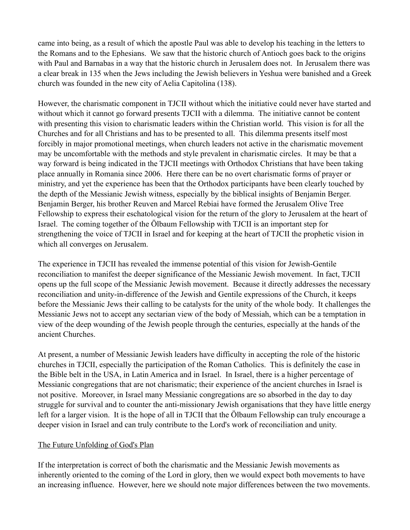came into being, as a result of which the apostle Paul was able to develop his teaching in the letters to the Romans and to the Ephesians. We saw that the historic church of Antioch goes back to the origins with Paul and Barnabas in a way that the historic church in Jerusalem does not. In Jerusalem there was a clear break in 135 when the Jews including the Jewish believers in Yeshua were banished and a Greek church was founded in the new city of Aelia Capitolina (138).

However, the charismatic component in TJCII without which the initiative could never have started and without which it cannot go forward presents TJCII with a dilemma. The initiative cannot be content with presenting this vision to charismatic leaders within the Christian world. This vision is for all the Churches and for all Christians and has to be presented to all. This dilemma presents itself most forcibly in major promotional meetings, when church leaders not active in the charismatic movement may be uncomfortable with the methods and style prevalent in charismatic circles. It may be that a way forward is being indicated in the TJCII meetings with Orthodox Christians that have been taking place annually in Romania since 2006. Here there can be no overt charismatic forms of prayer or ministry, and yet the experience has been that the Orthodox participants have been clearly touched by the depth of the Messianic Jewish witness, especially by the biblical insights of Benjamin Berger. Benjamin Berger, his brother Reuven and Marcel Rebiai have formed the Jerusalem Olive Tree Fellowship to express their eschatological vision for the return of the glory to Jerusalem at the heart of Israel. The coming together of the Ölbaum Fellowship with TJCII is an important step for strengthening the voice of TJCII in Israel and for keeping at the heart of TJCII the prophetic vision in which all converges on Jerusalem.

The experience in TJCII has revealed the immense potential of this vision for Jewish-Gentile reconciliation to manifest the deeper significance of the Messianic Jewish movement. In fact, TJCII opens up the full scope of the Messianic Jewish movement. Because it directly addresses the necessary reconciliation and unity-in-difference of the Jewish and Gentile expressions of the Church, it keeps before the Messianic Jews their calling to be catalysts for the unity of the whole body. It challenges the Messianic Jews not to accept any sectarian view of the body of Messiah, which can be a temptation in view of the deep wounding of the Jewish people through the centuries, especially at the hands of the ancient Churches.

At present, a number of Messianic Jewish leaders have difficulty in accepting the role of the historic churches in TJCII, especially the participation of the Roman Catholics. This is definitely the case in the Bible belt in the USA, in Latin America and in Israel. In Israel, there is a higher percentage of Messianic congregations that are not charismatic; their experience of the ancient churches in Israel is not positive. Moreover, in Israel many Messianic congregations are so absorbed in the day to day struggle for survival and to counter the anti-missionary Jewish organisations that they have little energy left for a larger vision. It is the hope of all in TJCII that the Ölbaum Fellowship can truly encourage a deeper vision in Israel and can truly contribute to the Lord's work of reconciliation and unity.

# The Future Unfolding of God's Plan

If the interpretation is correct of both the charismatic and the Messianic Jewish movements as inherently oriented to the coming of the Lord in glory, then we would expect both movements to have an increasing influence. However, here we should note major differences between the two movements.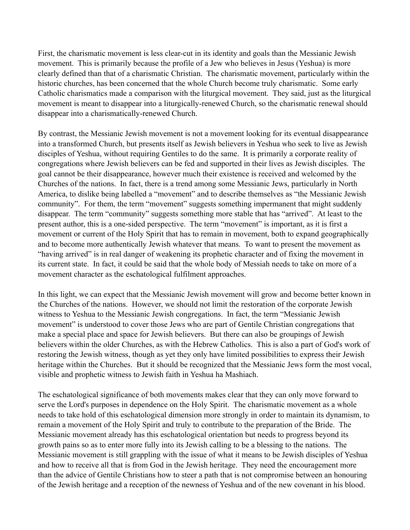First, the charismatic movement is less clear-cut in its identity and goals than the Messianic Jewish movement. This is primarily because the profile of a Jew who believes in Jesus (Yeshua) is more clearly defined than that of a charismatic Christian. The charismatic movement, particularly within the historic churches, has been concerned that the whole Church become truly charismatic. Some early Catholic charismatics made a comparison with the liturgical movement. They said, just as the liturgical movement is meant to disappear into a liturgically-renewed Church, so the charismatic renewal should disappear into a charismatically-renewed Church.

By contrast, the Messianic Jewish movement is not a movement looking for its eventual disappearance into a transformed Church, but presents itself as Jewish believers in Yeshua who seek to live as Jewish disciples of Yeshua, without requiring Gentiles to do the same. It is primarily a corporate reality of congregations where Jewish believers can be fed and supported in their lives as Jewish disciples. The goal cannot be their disappearance, however much their existence is received and welcomed by the Churches of the nations. In fact, there is a trend among some Messianic Jews, particularly in North America, to dislike being labelled a "movement" and to describe themselves as "the Messianic Jewish community". For them, the term "movement" suggests something impermanent that might suddenly disappear. The term "community" suggests something more stable that has "arrived". At least to the present author, this is a one-sided perspective. The term "movement" is important, as it is first a movement or current of the Holy Spirit that has to remain in movement, both to expand geographically and to become more authentically Jewish whatever that means. To want to present the movement as "having arrived" is in real danger of weakening its prophetic character and of fixing the movement in its current state. In fact, it could be said that the whole body of Messiah needs to take on more of a movement character as the eschatological fulfilment approaches.

In this light, we can expect that the Messianic Jewish movement will grow and become better known in the Churches of the nations. However, we should not limit the restoration of the corporate Jewish witness to Yeshua to the Messianic Jewish congregations. In fact, the term "Messianic Jewish movement" is understood to cover those Jews who are part of Gentile Christian congregations that make a special place and space for Jewish believers. But there can also be groupings of Jewish believers within the older Churches, as with the Hebrew Catholics. This is also a part of God's work of restoring the Jewish witness, though as yet they only have limited possibilities to express their Jewish heritage within the Churches. But it should be recognized that the Messianic Jews form the most vocal, visible and prophetic witness to Jewish faith in Yeshua ha Mashiach.

The eschatological significance of both movements makes clear that they can only move forward to serve the Lord's purposes in dependence on the Holy Spirit. The charismatic movement as a whole needs to take hold of this eschatological dimension more strongly in order to maintain its dynamism, to remain a movement of the Holy Spirit and truly to contribute to the preparation of the Bride. The Messianic movement already has this eschatological orientation but needs to progress beyond its growth pains so as to enter more fully into its Jewish calling to be a blessing to the nations. The Messianic movement is still grappling with the issue of what it means to be Jewish disciples of Yeshua and how to receive all that is from God in the Jewish heritage. They need the encouragement more than the advice of Gentile Christians how to steer a path that is not compromise between an honouring of the Jewish heritage and a reception of the newness of Yeshua and of the new covenant in his blood.